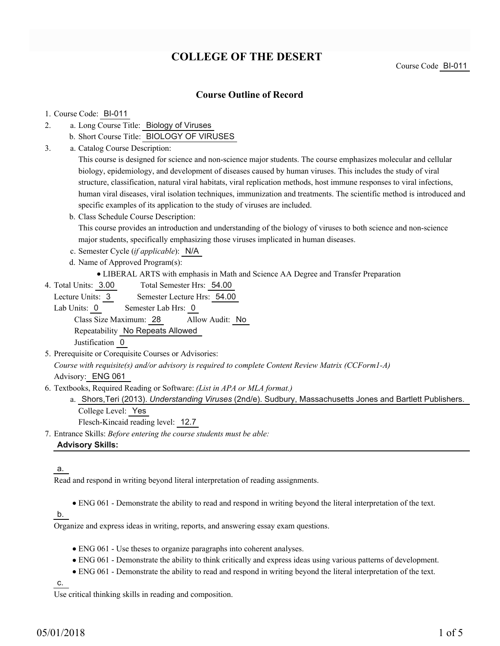# **COLLEGE OF THE DESERT**

## **Course Outline of Record**

#### 1. Course Code: BI-011

- a. Long Course Title: Biology of Viruses 2.
	- b. Short Course Title: BIOLOGY OF VIRUSES
- Catalog Course Description: a. 3.

This course is designed for science and non-science major students. The course emphasizes molecular and cellular biology, epidemiology, and development of diseases caused by human viruses. This includes the study of viral structure, classification, natural viral habitats, viral replication methods, host immune responses to viral infections, human viral diseases, viral isolation techniques, immunization and treatments. The scientific method is introduced and specific examples of its application to the study of viruses are included.

- b. Class Schedule Course Description: This course provides an introduction and understanding of the biology of viruses to both science and non-science major students, specifically emphasizing those viruses implicated in human diseases.
- c. Semester Cycle (*if applicable*): N/A
- d. Name of Approved Program(s):
	- LIBERAL ARTS with emphasis in Math and Science AA Degree and Transfer Preparation
- Total Semester Hrs: 54.00 4. Total Units: 3.00

Lecture Units: 3 Semester Lecture Hrs: 54.00

Lab Units: 0 Semester Lab Hrs: 0 Class Size Maximum: 28 Allow Audit: No Repeatability No Repeats Allowed

Justification 0

- 5. Prerequisite or Corequisite Courses or Advisories: *Course with requisite(s) and/or advisory is required to complete Content Review Matrix (CCForm1-A)* Advisory: ENG 061
- Textbooks, Required Reading or Software: *(List in APA or MLA format.)* 6.
	- a. Shors,Teri (2013). *Understanding Viruses* (2nd/e). Sudbury, Massachusetts Jones and Bartlett Publishers. College Level: Yes

Flesch-Kincaid reading level: 12.7

Entrance Skills: *Before entering the course students must be able:* 7.

### **Advisory Skills:**

#### a.

Read and respond in writing beyond literal interpretation of reading assignments.

ENG 061 - Demonstrate the ability to read and respond in writing beyond the literal interpretation of the text.

### b.

Organize and express ideas in writing, reports, and answering essay exam questions.

- ENG 061 Use theses to organize paragraphs into coherent analyses.
- ENG 061 Demonstrate the ability to think critically and express ideas using various patterns of development.
- ENG 061 Demonstrate the ability to read and respond in writing beyond the literal interpretation of the text.

c.

Use critical thinking skills in reading and composition.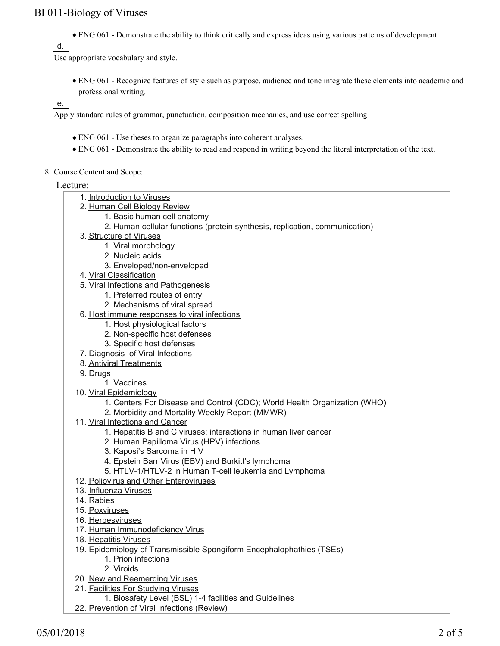ENG 061 - Demonstrate the ability to think critically and express ideas using various patterns of development.

d.

Use appropriate vocabulary and style.

ENG 061 - Recognize features of style such as purpose, audience and tone integrate these elements into academic and professional writing.

e.

Apply standard rules of grammar, punctuation, composition mechanics, and use correct spelling

- ENG 061 Use theses to organize paragraphs into coherent analyses.
- ENG 061 Demonstrate the ability to read and respond in writing beyond the literal interpretation of the text.
- 8. Course Content and Scope:

#### Lecture:

- 1. Introduction to Viruses
- 2. <u>Human Cell Biology Review</u>
	- 1. Basic human cell anatomy
	- 2. Human cellular functions (protein synthesis, replication, communication)
- 3. <u>Structure of Viruses</u>
	- 1. Viral morphology
	- 2. Nucleic acids
	- 3. Enveloped/non-enveloped
- 4. Viral Classification
- 5. Viral Infections and Pathogenesis
	- 1. Preferred routes of entry
	- 2. Mechanisms of viral spread
- 6. <u>Host immune responses to viral infections</u>
	- 1. Host physiological factors
	- 2. Non-specific host defenses
	- 3. Specific host defenses
- 7. Diagnosis of Viral Infections
- 8. Antiviral Treatments
- 9. Drugs
	- 1. Vaccines
- 10. Viral Epidemiology
	- 1. Centers For Disease and Control (CDC); World Health Organization (WHO)
	- 2. Morbidity and Mortality Weekly Report (MMWR)
- 11. Viral Infections and Cancer
	- 1. Hepatitis B and C viruses: interactions in human liver cancer
	- 2. Human Papilloma Virus (HPV) infections
	- 3. Kaposi's Sarcoma in HIV
	- 4. Epstein Barr Virus (EBV) and Burkitt's lymphoma
	- 5. HTLV-1/HTLV-2 in Human T-cell leukemia and Lymphoma
- 12. Poliovirus and Other Enteroviruses
- 13. Influenza Viruses
- 14. Rabies
- 15. Poxviruses
- 16. Herpesviruses
- 17. Human Immunodeficiency Virus
- 18. Hepatitis Viruses
- 19. Epidemiology of Transmissible Spongiform Encephalophathies (TSEs) 1. Prion infections
	- 2. Viroids
- 20. New and Reemerging Viruses
- 21. Facilities For Studying Viruses
	- 1. Biosafety Level (BSL) 1-4 facilities and Guidelines
- 22. Prevention of Viral Infections (Review)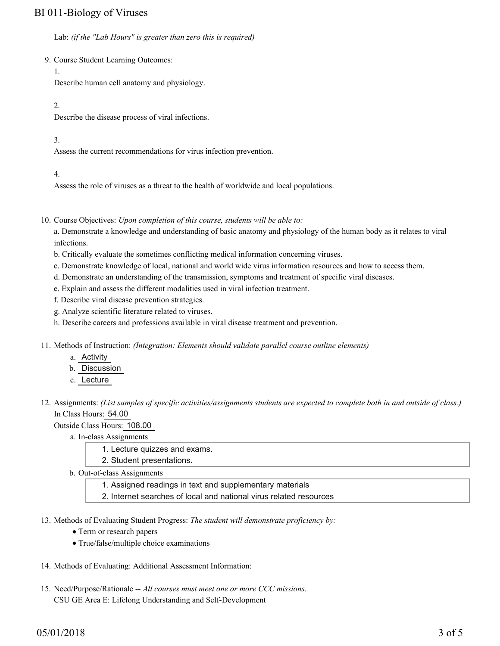Lab: *(if the "Lab Hours" is greater than zero this is required)*

9. Course Student Learning Outcomes:

1.

Describe human cell anatomy and physiology.

2.

Describe the disease process of viral infections.

3.

Assess the current recommendations for virus infection prevention.

4.

Assess the role of viruses as a threat to the health of worldwide and local populations.

10. Course Objectives: Upon completion of this course, students will be able to:

a. Demonstrate a knowledge and understanding of basic anatomy and physiology of the human body as it relates to viral infections.

- b. Critically evaluate the sometimes conflicting medical information concerning viruses.
- c. Demonstrate knowledge of local, national and world wide virus information resources and how to access them.
- d. Demonstrate an understanding of the transmission, symptoms and treatment of specific viral diseases.
- e. Explain and assess the different modalities used in viral infection treatment.
- f. Describe viral disease prevention strategies.
- g. Analyze scientific literature related to viruses.
- h. Describe careers and professions available in viral disease treatment and prevention.
- 11. Methods of Instruction: *(Integration: Elements should validate parallel course outline elements)* 
	- a. Activity
	- b. Discussion
	- c. Lecture
- 12. Assignments: (List samples of specific activities/assignments students are expected to complete both in and outside of class.) In Class Hours: 54.00

Outside Class Hours: 108.00

- a. In-class Assignments
	- 1. Lecture quizzes and exams.

2. Student presentations.

- b. Out-of-class Assignments
	- 1. Assigned readings in text and supplementary materials
	- 2. Internet searches of local and national virus related resources
- 13. Methods of Evaluating Student Progress: The student will demonstrate proficiency by:
	- Term or research papers
	- True/false/multiple choice examinations
- 14. Methods of Evaluating: Additional Assessment Information:
- 15. Need/Purpose/Rationale -- All courses must meet one or more CCC missions. CSU GE Area E: Lifelong Understanding and Self-Development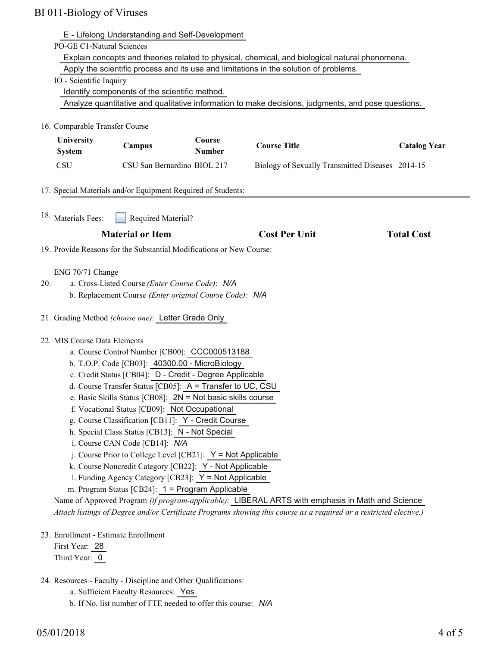| E - Lifelong Understanding and Self-Development<br><b>PO-GE C1-Natural Sciences</b>                                                                  |                             |                         |                                                  |                     |
|------------------------------------------------------------------------------------------------------------------------------------------------------|-----------------------------|-------------------------|--------------------------------------------------|---------------------|
| Explain concepts and theories related to physical, chemical, and biological natural phenomena.                                                       |                             |                         |                                                  |                     |
| Apply the scientific process and its use and limitations in the solution of problems.                                                                |                             |                         |                                                  |                     |
| IO - Scientific Inquiry                                                                                                                              |                             |                         |                                                  |                     |
| Identify components of the scientific method.                                                                                                        |                             |                         |                                                  |                     |
| Analyze quantitative and qualitative information to make decisions, judgments, and pose questions.                                                   |                             |                         |                                                  |                     |
| 16. Comparable Transfer Course                                                                                                                       |                             |                         |                                                  |                     |
| University<br><b>System</b>                                                                                                                          | Campus                      | Course<br><b>Number</b> | <b>Course Title</b>                              | <b>Catalog Year</b> |
| <b>CSU</b>                                                                                                                                           | CSU San Bernardino BIOL 217 |                         | Biology of Sexually Transmitted Diseases 2014-15 |                     |
|                                                                                                                                                      |                             |                         |                                                  |                     |
| 17. Special Materials and/or Equipment Required of Students:                                                                                         |                             |                         |                                                  |                     |
|                                                                                                                                                      |                             |                         |                                                  |                     |
| 18. Materials Fees:                                                                                                                                  | Required Material?          |                         |                                                  |                     |
|                                                                                                                                                      | <b>Material or Item</b>     |                         | <b>Cost Per Unit</b>                             | <b>Total Cost</b>   |
| 19. Provide Reasons for the Substantial Modifications or New Course:                                                                                 |                             |                         |                                                  |                     |
|                                                                                                                                                      |                             |                         |                                                  |                     |
| ENG 70/71 Change                                                                                                                                     |                             |                         |                                                  |                     |
| a. Cross-Listed Course (Enter Course Code): N/A<br>20.                                                                                               |                             |                         |                                                  |                     |
| b. Replacement Course (Enter original Course Code): N/A                                                                                              |                             |                         |                                                  |                     |
| 21. Grading Method (choose one): Letter Grade Only                                                                                                   |                             |                         |                                                  |                     |
| 22. MIS Course Data Elements                                                                                                                         |                             |                         |                                                  |                     |
| a. Course Control Number [CB00]: CCC000513188                                                                                                        |                             |                         |                                                  |                     |
| b. T.O.P. Code [CB03]: 40300.00 - MicroBiology                                                                                                       |                             |                         |                                                  |                     |
| c. Credit Status [CB04]: D - Credit - Degree Applicable                                                                                              |                             |                         |                                                  |                     |
| d. Course Transfer Status [CB05]: A = Transfer to UC, CSU                                                                                            |                             |                         |                                                  |                     |
| e. Basic Skills Status [CB08]: 2N = Not basic skills course                                                                                          |                             |                         |                                                  |                     |
| f. Vocational Status [CB09]: Not Occupational                                                                                                        |                             |                         |                                                  |                     |
| g. Course Classification [CB11]: Y - Credit Course                                                                                                   |                             |                         |                                                  |                     |
| h. Special Class Status [CB13]: N - Not Special                                                                                                      |                             |                         |                                                  |                     |
| i. Course CAN Code [CB14]: N/A                                                                                                                       |                             |                         |                                                  |                     |
| j. Course Prior to College Level [CB21]: $Y = Not$ Applicable                                                                                        |                             |                         |                                                  |                     |
| k. Course Noncredit Category [CB22]: Y - Not Applicable                                                                                              |                             |                         |                                                  |                     |
| 1. Funding Agency Category [CB23]: Y = Not Applicable                                                                                                |                             |                         |                                                  |                     |
| m. Program Status [CB24]: 1 = Program Applicable<br>Name of Approved Program (if program-applicable): LIBERAL ARTS with emphasis in Math and Science |                             |                         |                                                  |                     |
| Attach listings of Degree and/or Certificate Programs showing this course as a required or a restricted elective.)                                   |                             |                         |                                                  |                     |
|                                                                                                                                                      |                             |                         |                                                  |                     |

23. Enrollment - Estimate Enrollment

First Year: 28 Third Year: 0

- 24. Resources Faculty Discipline and Other Qualifications:
	- a. Sufficient Faculty Resources: Yes
	- b. If No, list number of FTE needed to offer this course: *N/A*